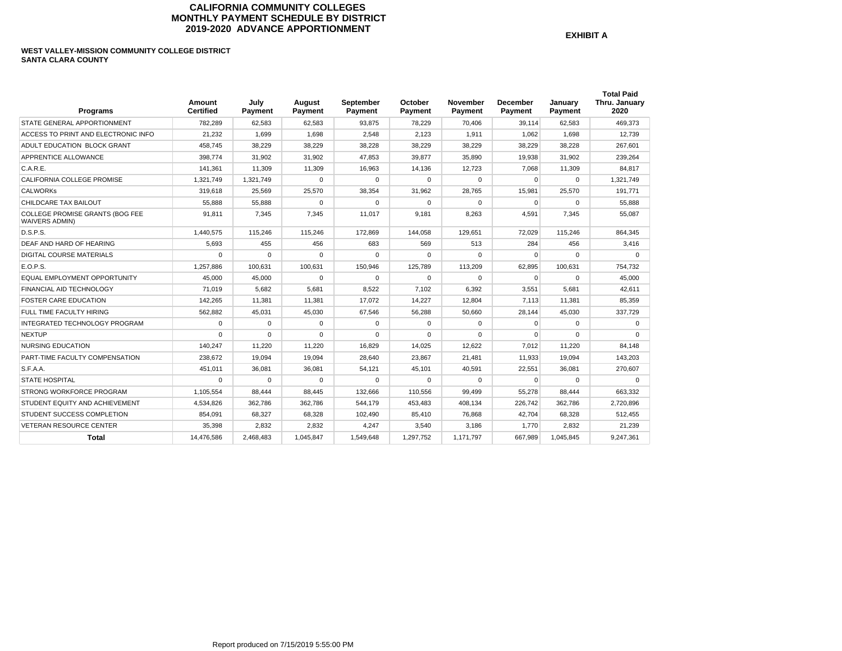## **CALIFORNIA COMMUNITY COLLEGES MONTHLY PAYMENT SCHEDULE BY DISTRICT 2019-2020 ADVANCE APPORTIONMENT**

**EXHIBIT A** 

# **WEST VALLEY-MISSION COMMUNITY COLLEGE DISTRICT SANTA CLARA COUNTY**

| <b>Programs</b>                                                 | Amount<br><b>Certified</b> | July<br>Payment | August<br>Payment | September<br>Payment | October<br>Payment | November<br>Payment | <b>December</b><br>Payment | Januarv<br>Payment | <b>Total Paid</b><br>Thru. January<br>2020 |
|-----------------------------------------------------------------|----------------------------|-----------------|-------------------|----------------------|--------------------|---------------------|----------------------------|--------------------|--------------------------------------------|
| STATE GENERAL APPORTIONMENT                                     | 782.289                    | 62.583          | 62,583            | 93.875               | 78,229             | 70.406              | 39.114                     | 62,583             | 469.373                                    |
| ACCESS TO PRINT AND ELECTRONIC INFO                             | 21,232                     | 1,699           | 1,698             | 2,548                | 2.123              | 1,911               | 1.062                      | 1,698              | 12,739                                     |
| ADULT EDUCATION BLOCK GRANT                                     | 458,745                    | 38,229          | 38,229            | 38,228               | 38,229             | 38,229              | 38,229                     | 38,228             | 267,601                                    |
| APPRENTICE ALLOWANCE                                            | 398.774                    | 31.902          | 31.902            | 47.853               | 39.877             | 35,890              | 19.938                     | 31,902             | 239,264                                    |
| C.A.R.E.                                                        | 141,361                    | 11,309          | 11,309            | 16.963               | 14.136             | 12.723              | 7,068                      | 11,309             | 84,817                                     |
| CALIFORNIA COLLEGE PROMISE                                      | 1.321.749                  | 1.321.749       | $\Omega$          | 0                    | $\Omega$           | $\Omega$            | $\Omega$                   | 0                  | 1.321.749                                  |
| <b>CALWORKs</b>                                                 | 319.618                    | 25.569          | 25.570            | 38.354               | 31.962             | 28.765              | 15.981                     | 25,570             | 191.771                                    |
| CHILDCARE TAX BAILOUT                                           | 55,888                     | 55,888          | $\Omega$          | $\mathbf 0$          | $\Omega$           | $\Omega$            | $\mathbf 0$                | 0                  | 55,888                                     |
| <b>COLLEGE PROMISE GRANTS (BOG FEE</b><br><b>WAIVERS ADMIN)</b> | 91,811                     | 7,345           | 7,345             | 11,017               | 9,181              | 8,263               | 4,591                      | 7,345              | 55,087                                     |
| D.S.P.S.                                                        | 1,440,575                  | 115,246         | 115,246           | 172,869              | 144,058            | 129,651             | 72,029                     | 115,246            | 864,345                                    |
| DEAF AND HARD OF HEARING                                        | 5,693                      | 455             | 456               | 683                  | 569                | 513                 | 284                        | 456                | 3,416                                      |
| <b>DIGITAL COURSE MATERIALS</b>                                 | $\Omega$                   | $\Omega$        | $\Omega$          | $\Omega$             | $\Omega$           | $\Omega$            | $\Omega$                   | $\Omega$           | $\Omega$                                   |
| E.O.P.S.                                                        | 1,257,886                  | 100,631         | 100,631           | 150,946              | 125,789            | 113,209             | 62,895                     | 100,631            | 754,732                                    |
| EQUAL EMPLOYMENT OPPORTUNITY                                    | 45.000                     | 45.000          | $\Omega$          | $\Omega$             | $\Omega$           | $\Omega$            | $\Omega$                   | $\Omega$           | 45,000                                     |
| FINANCIAL AID TECHNOLOGY                                        | 71.019                     | 5,682           | 5.681             | 8,522                | 7,102              | 6,392               | 3.551                      | 5,681              | 42,611                                     |
| <b>FOSTER CARE EDUCATION</b>                                    | 142.265                    | 11.381          | 11.381            | 17.072               | 14.227             | 12.804              | 7.113                      | 11.381             | 85.359                                     |
| FULL TIME FACULTY HIRING                                        | 562.882                    | 45.031          | 45.030            | 67.546               | 56.288             | 50.660              | 28.144                     | 45.030             | 337,729                                    |
| INTEGRATED TECHNOLOGY PROGRAM                                   | $\Omega$                   | $\Omega$        | $\Omega$          | $\mathbf 0$          | $\Omega$           | $\Omega$            | $\Omega$                   | 0                  | $\Omega$                                   |
| <b>NEXTUP</b>                                                   | $\Omega$                   | $\Omega$        | $\Omega$          | 0                    | $\Omega$           | $\Omega$            | $\Omega$                   | $\Omega$           | $\Omega$                                   |
| <b>NURSING EDUCATION</b>                                        | 140,247                    | 11,220          | 11,220            | 16,829               | 14,025             | 12,622              | 7,012                      | 11,220             | 84,148                                     |
| PART-TIME FACULTY COMPENSATION                                  | 238,672                    | 19,094          | 19.094            | 28,640               | 23,867             | 21,481              | 11,933                     | 19,094             | 143,203                                    |
| S.F.A.A.                                                        | 451,011                    | 36,081          | 36,081            | 54,121               | 45,101             | 40,591              | 22,551                     | 36,081             | 270,607                                    |
| <b>STATE HOSPITAL</b>                                           | $\Omega$                   | $\Omega$        | $\Omega$          | $\Omega$             | $\Omega$           | $\Omega$            | $\Omega$                   | $\mathbf 0$        | $\Omega$                                   |
| <b>STRONG WORKFORCE PROGRAM</b>                                 | 1.105.554                  | 88.444          | 88.445            | 132.666              | 110.556            | 99.499              | 55.278                     | 88,444             | 663.332                                    |
| STUDENT EQUITY AND ACHIEVEMENT                                  | 4,534,826                  | 362,786         | 362,786           | 544,179              | 453,483            | 408,134             | 226,742                    | 362,786            | 2,720,896                                  |
| STUDENT SUCCESS COMPLETION                                      | 854,091                    | 68,327          | 68,328            | 102,490              | 85,410             | 76.868              | 42,704                     | 68,328             | 512,455                                    |
| <b>VETERAN RESOURCE CENTER</b>                                  | 35.398                     | 2.832           | 2.832             | 4.247                | 3.540              | 3.186               | 1.770                      | 2.832              | 21.239                                     |
| <b>Total</b>                                                    | 14,476,586                 | 2,468,483       | 1,045,847         | 1,549,648            | 1,297,752          | 1.171.797           | 667.989                    | 1,045,845          | 9,247,361                                  |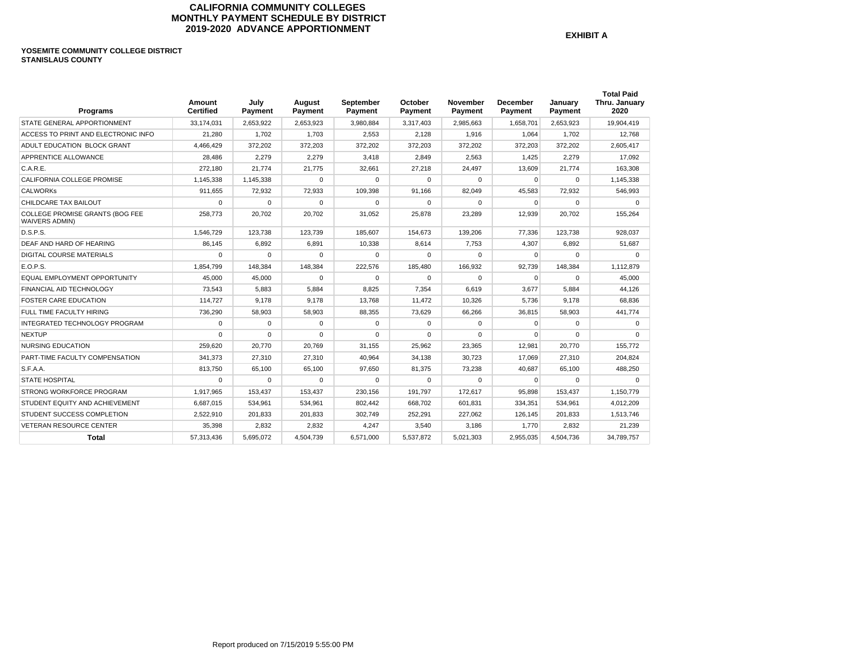# **CALIFORNIA COMMUNITY COLLEGES MONTHLY PAYMENT SCHEDULE BY DISTRICT 2019-2020 ADVANCE APPORTIONMENT**

**EXHIBIT A** 

### **YOSEMITE COMMUNITY COLLEGE DISTRICT STANISLAUS COUNTY**

| Programs                                                 | Amount<br><b>Certified</b> | July<br>Payment | August<br>Payment | September<br>Payment | October<br>Payment | November<br>Payment | December<br>Payment | January<br>Payment | <b>Total Paid</b><br>Thru. January<br>2020 |
|----------------------------------------------------------|----------------------------|-----------------|-------------------|----------------------|--------------------|---------------------|---------------------|--------------------|--------------------------------------------|
| STATE GENERAL APPORTIONMENT                              | 33.174.031                 | 2.653.922       | 2.653.923         | 3,980,884            | 3,317,403          | 2.985.663           | 1.658.701           | 2.653.923          | 19.904.419                                 |
| ACCESS TO PRINT AND ELECTRONIC INFO                      | 21,280                     | 1,702           | 1,703             | 2,553                | 2,128              | 1,916               | 1,064               | 1,702              | 12,768                                     |
| ADULT EDUCATION BLOCK GRANT                              | 4,466,429                  | 372,202         | 372,203           | 372,202              | 372,203            | 372,202             | 372,203             | 372,202            | 2,605,417                                  |
| APPRENTICE ALLOWANCE                                     | 28.486                     | 2,279           | 2,279             | 3,418                | 2,849              | 2,563               | 1.425               | 2,279              | 17,092                                     |
| C.A.R.E.                                                 | 272,180                    | 21,774          | 21,775            | 32,661               | 27,218             | 24,497              | 13,609              | 21,774             | 163,308                                    |
| CALIFORNIA COLLEGE PROMISE                               | 1,145,338                  | 1.145.338       | $\Omega$          | $\Omega$             | $\Omega$           | $\Omega$            | $\Omega$            | $\Omega$           | 1,145,338                                  |
| <b>CALWORKS</b>                                          | 911.655                    | 72,932          | 72,933            | 109.398              | 91.166             | 82,049              | 45.583              | 72,932             | 546,993                                    |
| CHILDCARE TAX BAILOUT                                    | $\Omega$                   | $\Omega$        | $\Omega$          | $\Omega$             | $\Omega$           | $\Omega$            | $\Omega$            | $\Omega$           | $\Omega$                                   |
| COLLEGE PROMISE GRANTS (BOG FEE<br><b>WAIVERS ADMIN)</b> | 258,773                    | 20,702          | 20,702            | 31,052               | 25,878             | 23,289              | 12,939              | 20,702             | 155,264                                    |
| D.S.P.S.                                                 | 1,546,729                  | 123,738         | 123,739           | 185,607              | 154,673            | 139,206             | 77.336              | 123,738            | 928,037                                    |
| DEAF AND HARD OF HEARING                                 | 86,145                     | 6,892           | 6,891             | 10,338               | 8,614              | 7,753               | 4,307               | 6,892              | 51,687                                     |
| <b>DIGITAL COURSE MATERIALS</b>                          | $\Omega$                   | 0               | $\mathbf 0$       | $\Omega$             | 0                  | 0                   | $\mathbf 0$         | 0                  | $\Omega$                                   |
| E.O.P.S.                                                 | 1,854,799                  | 148.384         | 148,384           | 222,576              | 185,480            | 166,932             | 92,739              | 148,384            | 1,112,879                                  |
| EQUAL EMPLOYMENT OPPORTUNITY                             | 45.000                     | 45,000          | $\mathbf 0$       | $\Omega$             | $\Omega$           | $\Omega$            | 0                   | $\Omega$           | 45.000                                     |
| <b>FINANCIAL AID TECHNOLOGY</b>                          | 73.543                     | 5.883           | 5.884             | 8.825                | 7.354              | 6.619               | 3.677               | 5.884              | 44.126                                     |
| <b>FOSTER CARE EDUCATION</b>                             | 114.727                    | 9.178           | 9.178             | 13.768               | 11.472             | 10.326              | 5.736               | 9.178              | 68.836                                     |
| FULL TIME FACULTY HIRING                                 | 736.290                    | 58.903          | 58.903            | 88.355               | 73.629             | 66.266              | 36.815              | 58.903             | 441.774                                    |
| INTEGRATED TECHNOLOGY PROGRAM                            | $\Omega$                   | $\Omega$        | $\mathbf 0$       | $\Omega$             | $\Omega$           | $\Omega$            | $\Omega$            | $\Omega$           | $\Omega$                                   |
| <b>NEXTUP</b>                                            | $\Omega$                   | $\Omega$        | $\Omega$          | $\Omega$             | $\Omega$           | $\Omega$            | $\Omega$            | $\Omega$           | $\Omega$                                   |
| <b>NURSING EDUCATION</b>                                 | 259,620                    | 20,770          | 20,769            | 31,155               | 25,962             | 23,365              | 12,981              | 20,770             | 155,772                                    |
| PART-TIME FACULTY COMPENSATION                           | 341,373                    | 27,310          | 27,310            | 40,964               | 34,138             | 30,723              | 17,069              | 27,310             | 204,824                                    |
| S.F.A.A.                                                 | 813,750                    | 65,100          | 65,100            | 97.650               | 81,375             | 73,238              | 40.687              | 65,100             | 488,250                                    |
| <b>STATE HOSPITAL</b>                                    | $\Omega$                   | $\Omega$        | $\Omega$          | $\Omega$             | $\Omega$           | $\Omega$            | $\Omega$            | $\Omega$           | $\Omega$                                   |
| STRONG WORKFORCE PROGRAM                                 | 1.917.965                  | 153.437         | 153.437           | 230,156              | 191.797            | 172.617             | 95,898              | 153,437            | 1.150.779                                  |
| STUDENT EQUITY AND ACHIEVEMENT                           | 6,687,015                  | 534,961         | 534,961           | 802,442              | 668,702            | 601,831             | 334,351             | 534,961            | 4,012,209                                  |
| STUDENT SUCCESS COMPLETION                               | 2,522,910                  | 201,833         | 201,833           | 302,749              | 252,291            | 227,062             | 126,145             | 201,833            | 1,513,746                                  |
| <b>VETERAN RESOURCE CENTER</b>                           | 35.398                     | 2.832           | 2.832             | 4.247                | 3.540              | 3.186               | 1.770               | 2.832              | 21.239                                     |
| <b>Total</b>                                             | 57,313,436                 | 5,695,072       | 4,504,739         | 6,571,000            | 5,537,872          | 5,021,303           | 2,955,035           | 4,504,736          | 34,789,757                                 |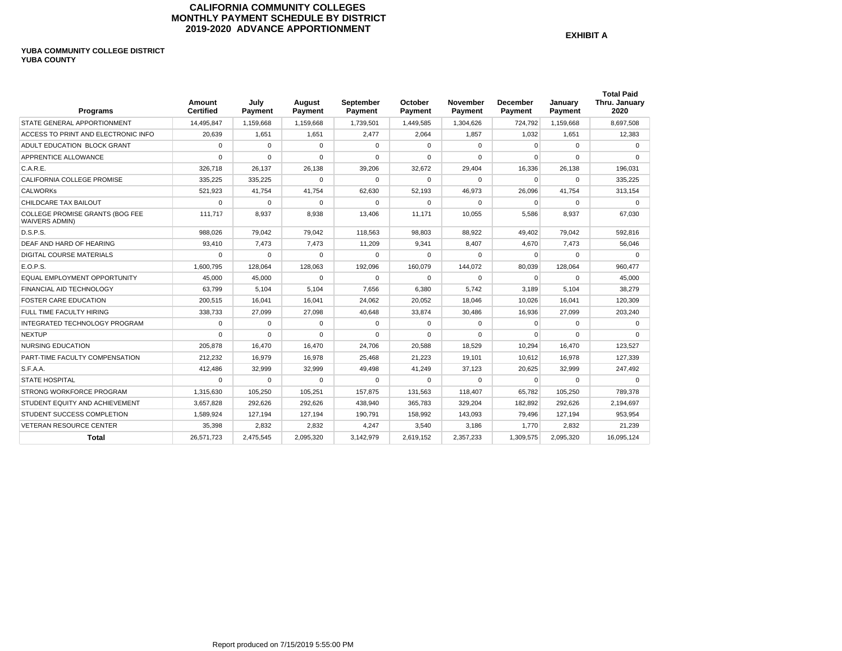## **CALIFORNIA COMMUNITY COLLEGES MONTHLY PAYMENT SCHEDULE BY DISTRICT 2019-2020 ADVANCE APPORTIONMENT**

**EXHIBIT A** 

#### **YUBA COMMUNITY COLLEGE DISTRICT YUBA COUNTY**

| <b>Programs</b>                                          | Amount<br><b>Certified</b> | July<br>Payment | August<br>Payment | September<br>Payment | October<br>Payment | <b>November</b><br>Payment | <b>December</b><br>Payment | January<br>Payment | <b>Total Paid</b><br>Thru. January<br>2020 |
|----------------------------------------------------------|----------------------------|-----------------|-------------------|----------------------|--------------------|----------------------------|----------------------------|--------------------|--------------------------------------------|
| STATE GENERAL APPORTIONMENT                              | 14.495.847                 | 1,159,668       | 1,159,668         | 1,739,501            | 1,449,585          | 1,304,626                  | 724.792                    | 1.159.668          | 8.697.508                                  |
| ACCESS TO PRINT AND ELECTRONIC INFO                      | 20,639                     | 1,651           | 1,651             | 2,477                | 2,064              | 1,857                      | 1.032                      | 1,651              | 12,383                                     |
| ADULT EDUCATION BLOCK GRANT                              | 0                          | $\Omega$        | $\mathbf 0$       | $\Omega$             | $\mathbf 0$        | 0                          | $\mathbf 0$                | 0                  | $\Omega$                                   |
| APPRENTICE ALLOWANCE                                     | $\Omega$                   | $\Omega$        | $\Omega$          | $\Omega$             | $\Omega$           | $\Omega$                   | $\mathbf 0$                | $\mathbf 0$        | $\Omega$                                   |
| C.A.R.E.                                                 | 326.718                    | 26,137          | 26,138            | 39,206               | 32,672             | 29,404                     | 16,336                     | 26,138             | 196.031                                    |
| CALIFORNIA COLLEGE PROMISE                               | 335,225                    | 335,225         | $\Omega$          | $\Omega$             | $\Omega$           | $\Omega$                   | $\Omega$                   | $\Omega$           | 335,225                                    |
| <b>CALWORKS</b>                                          | 521.923                    | 41.754          | 41.754            | 62.630               | 52.193             | 46.973                     | 26.096                     | 41.754             | 313.154                                    |
| CHILDCARE TAX BAILOUT                                    | 0                          | 0               | $\mathbf 0$       | $\Omega$             | $\Omega$           | $\Omega$                   | $\mathbf 0$                | 0                  | $\mathbf 0$                                |
| COLLEGE PROMISE GRANTS (BOG FEE<br><b>WAIVERS ADMIN)</b> | 111,717                    | 8,937           | 8,938             | 13,406               | 11.171             | 10,055                     | 5,586                      | 8,937              | 67,030                                     |
| D.S.P.S.                                                 | 988.026                    | 79.042          | 79.042            | 118.563              | 98.803             | 88.922                     | 49.402                     | 79.042             | 592.816                                    |
| DEAF AND HARD OF HEARING                                 | 93,410                     | 7,473           | 7,473             | 11.209               | 9,341              | 8.407                      | 4.670                      | 7.473              | 56.046                                     |
| <b>DIGITAL COURSE MATERIALS</b>                          | $\Omega$                   | $\Omega$        | $\Omega$          | $\Omega$             | $\Omega$           | $\Omega$                   | $\Omega$                   | $\Omega$           | $\Omega$                                   |
| E.O.P.S.                                                 | 1.600.795                  | 128.064         | 128.063           | 192.096              | 160.079            | 144.072                    | 80.039                     | 128.064            | 960.477                                    |
| <b>EQUAL EMPLOYMENT OPPORTUNITY</b>                      | 45,000                     | 45,000          | $\Omega$          | $\Omega$             | $\Omega$           | $\Omega$                   | $\Omega$                   | $\Omega$           | 45,000                                     |
| FINANCIAL AID TECHNOLOGY                                 | 63.799                     | 5,104           | 5.104             | 7.656                | 6,380              | 5.742                      | 3,189                      | 5,104              | 38,279                                     |
| <b>FOSTER CARE EDUCATION</b>                             | 200,515                    | 16,041          | 16.041            | 24,062               | 20.052             | 18.046                     | 10.026                     | 16,041             | 120,309                                    |
| FULL TIME FACULTY HIRING                                 | 338,733                    | 27,099          | 27,098            | 40.648               | 33.874             | 30.486                     | 16.936                     | 27,099             | 203,240                                    |
| INTEGRATED TECHNOLOGY PROGRAM                            | $\Omega$                   | $\Omega$        | $\Omega$          | 0                    | $\Omega$           | $\Omega$                   | $\mathbf 0$                | $\mathbf 0$        | $\Omega$                                   |
| <b>NEXTUP</b>                                            | $\Omega$                   | $\Omega$        | $\Omega$          | $\Omega$             | $\Omega$           | $\Omega$                   | $\Omega$                   | $\Omega$           | $\Omega$                                   |
| <b>NURSING EDUCATION</b>                                 | 205.878                    | 16.470          | 16.470            | 24.706               | 20.588             | 18.529                     | 10.294                     | 16.470             | 123.527                                    |
| PART-TIME FACULTY COMPENSATION                           | 212,232                    | 16.979          | 16.978            | 25.468               | 21.223             | 19.101                     | 10.612                     | 16.978             | 127.339                                    |
| S.F.A.A.                                                 | 412,486                    | 32,999          | 32,999            | 49.498               | 41.249             | 37,123                     | 20,625                     | 32,999             | 247,492                                    |
| <b>STATE HOSPITAL</b>                                    | $\Omega$                   | $\Omega$        | $\Omega$          | $\Omega$             | $\Omega$           | $\Omega$                   | $\Omega$                   | $\Omega$           | $\Omega$                                   |
| STRONG WORKFORCE PROGRAM                                 | 1.315.630                  | 105.250         | 105.251           | 157,875              | 131.563            | 118,407                    | 65,782                     | 105,250            | 789,378                                    |
| STUDENT EQUITY AND ACHIEVEMENT                           | 3,657,828                  | 292,626         | 292,626           | 438,940              | 365,783            | 329,204                    | 182,892                    | 292,626            | 2,194,697                                  |
| STUDENT SUCCESS COMPLETION                               | 1,589,924                  | 127,194         | 127,194           | 190,791              | 158,992            | 143,093                    | 79,496                     | 127,194            | 953,954                                    |
| <b>VETERAN RESOURCE CENTER</b>                           | 35.398                     | 2,832           | 2.832             | 4.247                | 3.540              | 3.186                      | 1.770                      | 2.832              | 21.239                                     |
| <b>Total</b>                                             | 26,571,723                 | 2,475,545       | 2.095.320         | 3,142,979            | 2,619,152          | 2,357,233                  | 1,309,575                  | 2,095,320          | 16,095,124                                 |